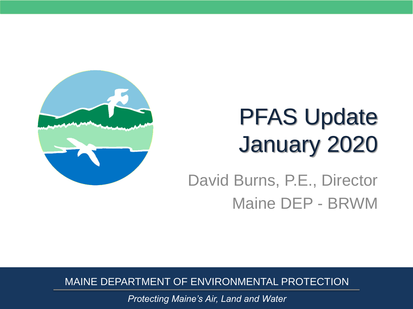

# PFAS Update January 2020

#### David Burns, P.E., Director Maine DEP - BRWM

MAINE DEPARTMENT OF ENVIRONMENTAL PROTECTION

*Protecting Maine's Air, Land and Water*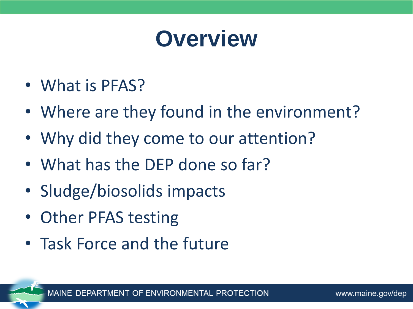#### **Overview**

- What is PFAS?
- Where are they found in the environment?
- Why did they come to our attention?
- What has the DEP done so far?
- Sludge/biosolids impacts
- Other PFAS testing
- Task Force and the future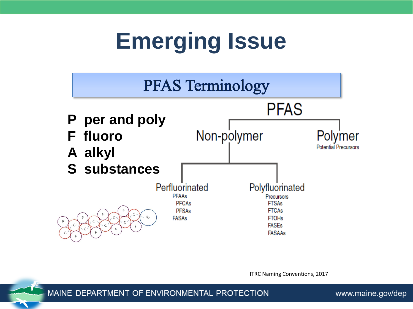#### **Emerging Issue**



ITRC Naming Conventions, 2017

MAINE DEPARTMENT OF ENVIRONMENTAL PROTECTION

www.maine.gov/dep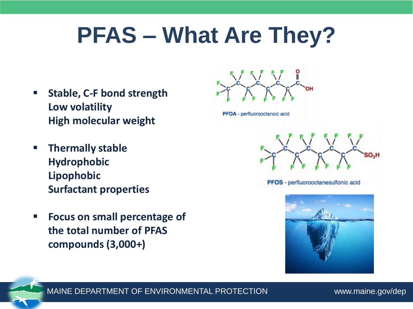#### **PFAS – What Are They?**

- **Stable, C-F bond strength Low volatility High molecular weight**
- **Thermally stable Hydrophobic Lipophobic Surfactant properties**
- **Focus on small percentage of the total number of PFAS compounds (3,000+)**



PFOA - perfluorooctanoic acid



PFOS - perfluorooctanesulfonic acid



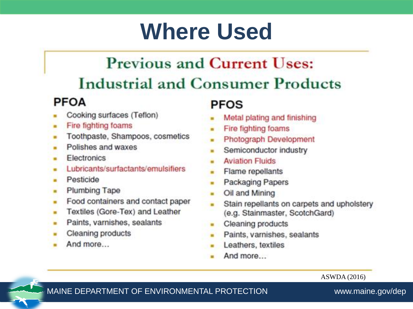#### **Where Used**

#### **Previous and Current Uses: Industrial and Consumer Products**

#### **PFOA**

- Cooking surfaces (Teflon)
- Fire fighting foams ۰
- Toothpaste, Shampoos, cosmetics
- Polishes and waxes
- **Electronics**
- Lubricants/surfactants/emulsifiers
- Pesticide ۰
- **Plumbing Tape**  $\blacksquare$
- Food containers and contact paper ٠
- Textiles (Gore-Tex) and Leather .
- Paints, varnishes, sealants  $\blacksquare$
- **Cleaning products**
- And more...

#### **PFOS**

- Metal plating and finishing
- Fire fighting foams
- Photograph Development
- Semiconductor industry
- **Aviation Fluids**
- Flame repellants
- **Packaging Papers**
- Oil and Mining  $\blacksquare$
- Stain repellants on carpets and upholstery  $\blacksquare$ (e.g. Stainmaster, ScotchGard)
- **Cleaning products**
- Paints, varnishes, sealants  $\blacksquare$
- Leathers, textiles
- And more...

ASWDA (2016)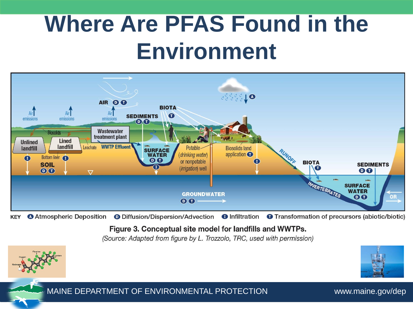#### **Where Are PFAS Found in the Environment**



**O** Diffusion/Dispersion/Advection **O** Infiltration **O** Transformation of precursors (abiotic/biotic) **KEY O** Atmospheric Deposition

Figure 3. Conceptual site model for landfills and WWTPs.

(Source: Adapted from figure by L. Trozzolo, TRC, used with permission)

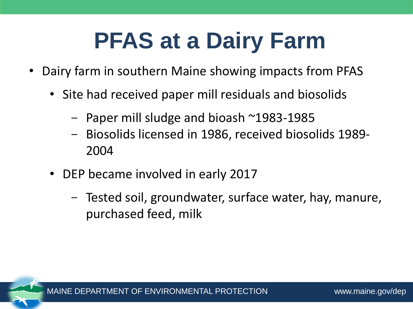# **PFAS at a Dairy Farm**

- Dairy farm in southern Maine showing impacts from PFAS
	- Site had received paper mill residuals and biosolids
		- $-$  Paper mill sludge and bioash  $\sim$ 1983-1985
		- Biosolids licensed in 1986, received biosolids 1989- 2004
	- DEP became involved in early 2017
		- Tested soil, groundwater, surface water, hay, manure, purchased feed, milk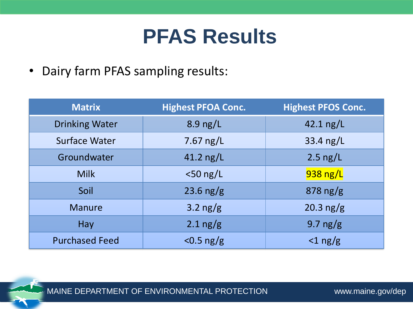#### **PFAS Results**

• Dairy farm PFAS sampling results:

| <b>Matrix</b>         | <b>Highest PFOA Conc.</b> | <b>Highest PFOS Conc.</b> |
|-----------------------|---------------------------|---------------------------|
| <b>Drinking Water</b> | 8.9 ng/L                  | 42.1 $\frac{1}{2}$        |
| <b>Surface Water</b>  | 7.67 $ng/L$               | 33.4 $ng/L$               |
| Groundwater           | 41.2 ng/L                 | $2.5$ ng/L                |
| <b>Milk</b>           | $<$ 50 ng/L               | $938$ ng/L                |
| Soil                  | 23.6 $ng/g$               | $878$ ng/g                |
| <b>Manure</b>         | 3.2 $ng/g$                | 20.3 $ng/g$               |
| Hay                   | $2.1$ ng/g                | 9.7 ng/g                  |
| <b>Purchased Feed</b> | $<$ 0.5 ng/g              | $<$ 1 ng/g                |

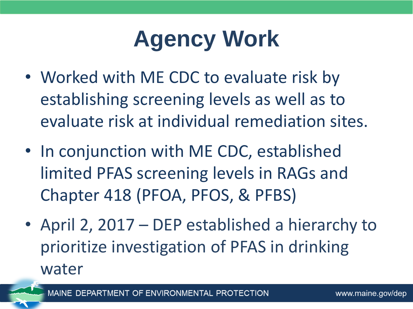## **Agency Work**

- Worked with ME CDC to evaluate risk by establishing screening levels as well as to evaluate risk at individual remediation sites.
- In conjunction with ME CDC, established limited PFAS screening levels in RAGs and Chapter 418 (PFOA, PFOS, & PFBS)
- April 2, 2017 DEP established a hierarchy to prioritize investigation of PFAS in drinking water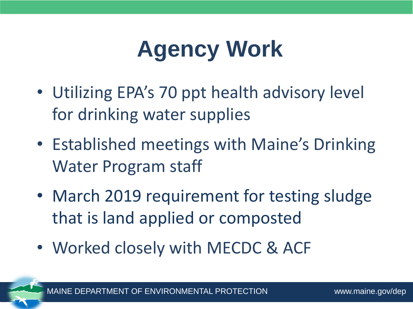## **Agency Work**

- Utilizing EPA's 70 ppt health advisory level for drinking water supplies
- Established meetings with Maine's Drinking Water Program staff
- March 2019 requirement for testing sludge that is land applied or composted
- Worked closely with MECDC & ACF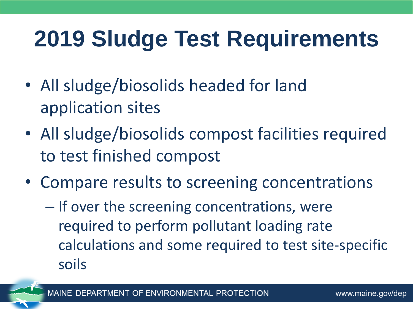#### **2019 Sludge Test Requirements**

- All sludge/biosolids headed for land application sites
- All sludge/biosolids compost facilities required to test finished compost
- Compare results to screening concentrations
	- If over the screening concentrations, were required to perform pollutant loading rate calculations and some required to test site-specific soils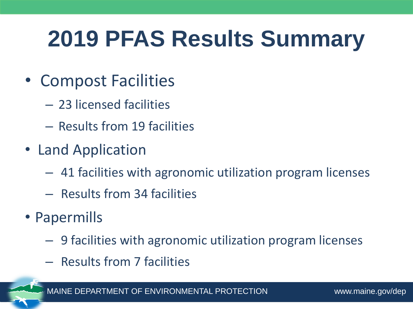## **2019 PFAS Results Summary**

- Compost Facilities
	- 23 licensed facilities
	- Results from 19 facilities
- Land Application
	- ‒ 41 facilities with agronomic utilization program licenses
	- ‒ Results from 34 facilities
- Papermills
	- ‒ 9 facilities with agronomic utilization program licenses
	- ‒ Results from 7 facilities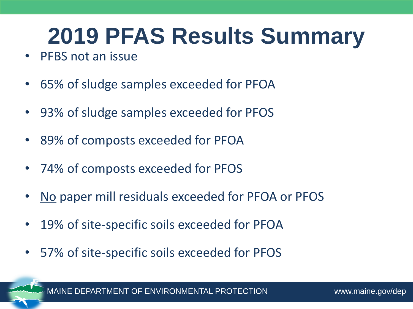## **2019 PFAS Results Summary**

- PFBS not an issue
- 65% of sludge samples exceeded for PFOA
- 93% of sludge samples exceeded for PFOS
- 89% of composts exceeded for PFOA
- 74% of composts exceeded for PFOS
- No paper mill residuals exceeded for PFOA or PFOS
- 19% of site-specific soils exceeded for PFOA
- 57% of site-specific soils exceeded for PFOS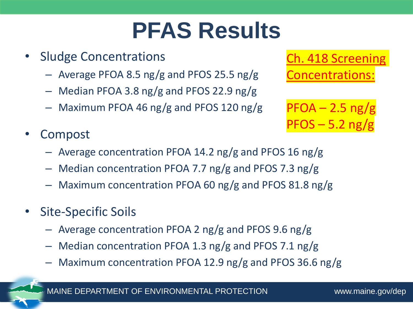## **PFAS Results**

- Sludge Concentrations
	- Average PFOA 8.5 ng/g and PFOS 25.5 ng/g
	- Median PFOA 3.8 ng/g and PFOS 22.9 ng/g
	- Maximum PFOA 46 ng/g and PFOS 120 ng/g
- **Compost** 
	- Average concentration PFOA 14.2 ng/g and PFOS 16 ng/g
	- Median concentration PFOA 7.7 ng/g and PFOS 7.3 ng/g
	- Maximum concentration PFOA 60 ng/g and PFOS 81.8 ng/g
- Site-Specific Soils
	- Average concentration PFOA 2 ng/g and PFOS 9.6 ng/g
	- Median concentration PFOA 1.3 ng/g and PFOS 7.1 ng/g
	- Maximum concentration PFOA 12.9 ng/g and PFOS 36.6 ng/g

Ch. 418 Screening Concentrations:

 $PFOA - 2.5$  ng/g  $PFOS - 5.2$  ng/g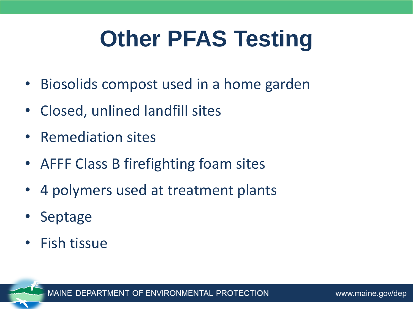# **Other PFAS Testing**

- Biosolids compost used in a home garden
- Closed, unlined landfill sites
- Remediation sites
- AFFF Class B firefighting foam sites
- 4 polymers used at treatment plants
- Septage
- Fish tissue

OF ENVIRONMENTAL PROTECTION **MAINF DFPA**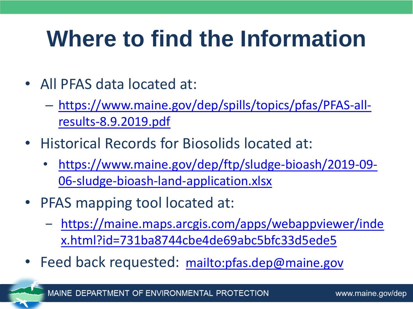## **Where to find the Information**

- All PFAS data located at:
	- [https://www.maine.gov/dep/spills/topics/pfas/PFAS-all](https://www.maine.gov/dep/spills/topics/pfas/PFAS-all-results-8.9.2019.pdf)results-8.9.2019.pdf
- Historical Records for Biosolids located at:
	- [https://www.maine.gov/dep/ftp/sludge-bioash/2019-09-](https://www.maine.gov/dep/ftp/sludge-bioash/2019-09-06-sludge-bioash-land-application.xlsx) 06-sludge-bioash-land-application.xlsx
- PFAS mapping tool located at:
	- ‒ [https://maine.maps.arcgis.com/apps/webappviewer/inde](https://maine.maps.arcgis.com/apps/webappviewer/index.html?id=731ba8744cbe4de69abc5bfc33d5ede5) x.html?id=731ba8744cbe4de69abc5bfc33d5ede5
- Feed back requested: <mailto:pfas.dep@maine.gov>

OF ENVIRONMENTAL PROTECTION **MAINE DEPAR**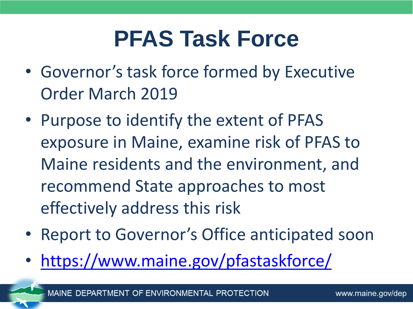#### **PFAS Task Force**

- Governor's task force formed by Executive Order March 2019
- Purpose to identify the extent of PFAS exposure in Maine, examine risk of PFAS to Maine residents and the environment, and recommend State approaches to most effectively address this risk
- Report to Governor's Office anticipated soon
- <https://www.maine.gov/pfastaskforce/>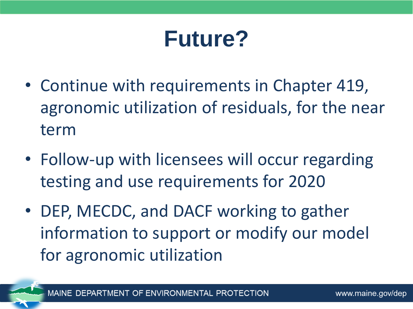#### **Future?**

- Continue with requirements in Chapter 419, agronomic utilization of residuals, for the near term
- Follow-up with licensees will occur regarding testing and use requirements for 2020
- DEP, MECDC, and DACF working to gather information to support or modify our model for agronomic utilization